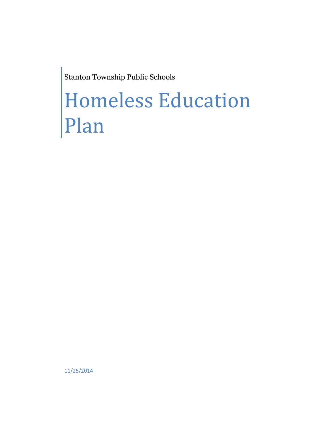Stanton Township Public Schools

# Homeless Education Plan

11/25/2014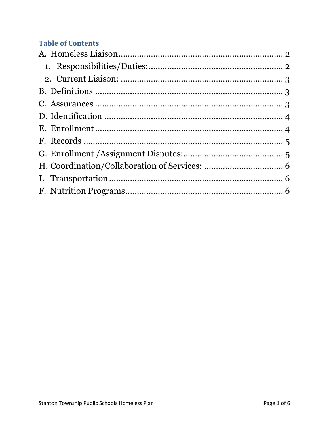# **Table of Contents**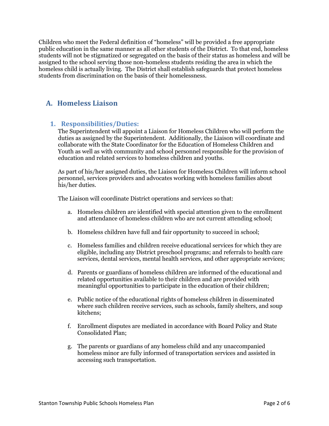Children who meet the Federal definition of "homeless" will be provided a free appropriate public education in the same manner as all other students of the District. To that end, homeless students will not be stigmatized or segregated on the basis of their status as homeless and will be assigned to the school serving those non-homeless students residing the area in which the homeless child is actually living. The District shall establish safeguards that protect homeless students from discrimination on the basis of their homelessness.

### <span id="page-2-0"></span>**A. Homeless Liaison**

#### <span id="page-2-1"></span>**1. Responsibilities/Duties:**

The Superintendent will appoint a Liaison for Homeless Children who will perform the duties as assigned by the Superintendent. Additionally, the Liaison will coordinate and collaborate with the State Coordinator for the Education of Homeless Children and Youth as well as with community and school personnel responsible for the provision of education and related services to homeless children and youths.

As part of his/her assigned duties, the Liaison for Homeless Children will inform school personnel, services providers and advocates working with homeless families about his/her duties.

The Liaison will coordinate District operations and services so that:

- a. Homeless children are identified with special attention given to the enrollment and attendance of homeless children who are not current attending school;
- b. Homeless children have full and fair opportunity to succeed in school;
- c. Homeless families and children receive educational services for which they are eligible, including any District preschool programs; and referrals to health care services, dental services, mental health services, and other appropriate services;
- d. Parents or guardians of homeless children are informed of the educational and related opportunities available to their children and are provided with meaningful opportunities to participate in the education of their children;
- e. Public notice of the educational rights of homeless children in disseminated where such children receive services, such as schools, family shelters, and soup kitchens;
- f. Enrollment disputes are mediated in accordance with Board Policy and State Consolidated Plan;
- g. The parents or guardians of any homeless child and any unaccompanied homeless minor are fully informed of transportation services and assisted in accessing such transportation.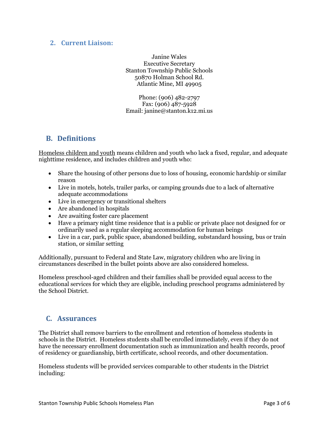#### <span id="page-3-0"></span>**2. Current Liaison:**

Janine Wales Executive Secretary Stanton Township Public Schools 50870 Holman School Rd. Atlantic Mine, MI 49905

Phone: (906) 482-2797 Fax: (906) 487-5928 Email: janine@stanton.k12.mi.us

#### <span id="page-3-1"></span>**B. Definitions**

Homeless children and youth means children and youth who lack a fixed, regular, and adequate nighttime residence, and includes children and youth who:

- Share the housing of other persons due to loss of housing, economic hardship or similar reason
- Live in motels, hotels, trailer parks, or camping grounds due to a lack of alternative adequate accommodations
- Live in emergency or transitional shelters
- Are abandoned in hospitals
- Are awaiting foster care placement
- Have a primary night time residence that is a public or private place not designed for or ordinarily used as a regular sleeping accommodation for human beings
- Live in a car, park, public space, abandoned building, substandard housing, bus or train station, or similar setting

Additionally, pursuant to Federal and State Law, migratory children who are living in circumstances described in the bullet points above are also considered homeless.

Homeless preschool-aged children and their families shall be provided equal access to the educational services for which they are eligible, including preschool programs administered by the School District.

#### <span id="page-3-2"></span>**C. Assurances**

The District shall remove barriers to the enrollment and retention of homeless students in schools in the District. Homeless students shall be enrolled immediately, even if they do not have the necessary enrollment documentation such as immunization and health records, proof of residency or guardianship, birth certificate, school records, and other documentation.

Homeless students will be provided services comparable to other students in the District including: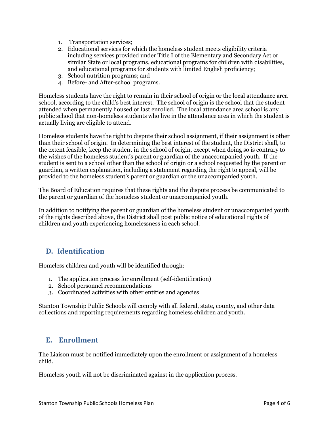- 1. Transportation services;
- 2. Educational services for which the homeless student meets eligibility criteria including services provided under Title I of the Elementary and Secondary Act or similar State or local programs, educational programs for children with disabilities, and educational programs for students with limited English proficiency;
- 3. School nutrition programs; and
- 4. Before- and After-school programs.

Homeless students have the right to remain in their school of origin or the local attendance area school, according to the child's best interest. The school of origin is the school that the student attended when permanently housed or last enrolled. The local attendance area school is any public school that non-homeless students who live in the attendance area in which the student is actually living are eligible to attend.

Homeless students have the right to dispute their school assignment, if their assignment is other than their school of origin. In determining the best interest of the student, the District shall, to the extent feasible, keep the student in the school of origin, except when doing so is contrary to the wishes of the homeless student's parent or guardian of the unaccompanied youth. If the student is sent to a school other than the school of origin or a school requested by the parent or guardian, a written explanation, including a statement regarding the right to appeal, will be provided to the homeless student's parent or guardian or the unaccompanied youth.

The Board of Education requires that these rights and the dispute process be communicated to the parent or guardian of the homeless student or unaccompanied youth.

In addition to notifying the parent or guardian of the homeless student or unaccompanied youth of the rights described above, the District shall post public notice of educational rights of children and youth experiencing homelessness in each school.

#### <span id="page-4-0"></span>**D. Identification**

Homeless children and youth will be identified through:

- 1. The application process for enrollment (self-identification)
- 2. School personnel recommendations
- 3. Coordinated activities with other entities and agencies

Stanton Township Public Schools will comply with all federal, state, county, and other data collections and reporting requirements regarding homeless children and youth.

#### <span id="page-4-1"></span>**E. Enrollment**

The Liaison must be notified immediately upon the enrollment or assignment of a homeless child.

Homeless youth will not be discriminated against in the application process.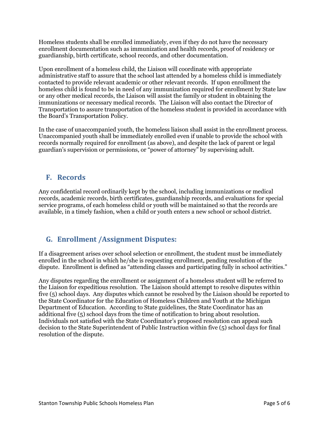Homeless students shall be enrolled immediately, even if they do not have the necessary enrollment documentation such as immunization and health records, proof of residency or guardianship, birth certificate, school records, and other documentation.

Upon enrollment of a homeless child, the Liaison will coordinate with appropriate administrative staff to assure that the school last attended by a homeless child is immediately contacted to provide relevant academic or other relevant records. If upon enrollment the homeless child is found to be in need of any immunization required for enrollment by State law or any other medical records, the Liaison will assist the family or student in obtaining the immunizations or necessary medical records. The Liaison will also contact the Director of Transportation to assure transportation of the homeless student is provided in accordance with the Board's Transportation Policy.

In the case of unaccompanied youth, the homeless liaison shall assist in the enrollment process. Unaccompanied youth shall be immediately enrolled even if unable to provide the school with records normally required for enrollment (as above), and despite the lack of parent or legal guardian's supervision or permissions, or "power of attorney" by supervising adult.

#### <span id="page-5-0"></span>**F. Records**

Any confidential record ordinarily kept by the school, including immunizations or medical records, academic records, birth certificates, guardianship records, and evaluations for special service programs, of each homeless child or youth will be maintained so that the records are available, in a timely fashion, when a child or youth enters a new school or school district.

## <span id="page-5-1"></span>**G. Enrollment /Assignment Disputes:**

If a disagreement arises over school selection or enrollment, the student must be immediately enrolled in the school in which he/she is requesting enrollment, pending resolution of the dispute. Enrollment is defined as "attending classes and participating fully in school activities."

Any disputes regarding the enrollment or assignment of a homeless student will be referred to the Liaison for expeditious resolution. The Liaison should attempt to resolve disputes within five (5) school days. Any disputes which cannot be resolved by the Liaison should be reported to the State Coordinator for the Education of Homeless Children and Youth at the Michigan Department of Education. According to State guidelines, the State Coordinator has an additional five (5) school days from the time of notification to bring about resolution. Individuals not satisfied with the State Coordinator's proposed resolution can appeal such decision to the State Superintendent of Public Instruction within five (5) school days for final resolution of the dispute.